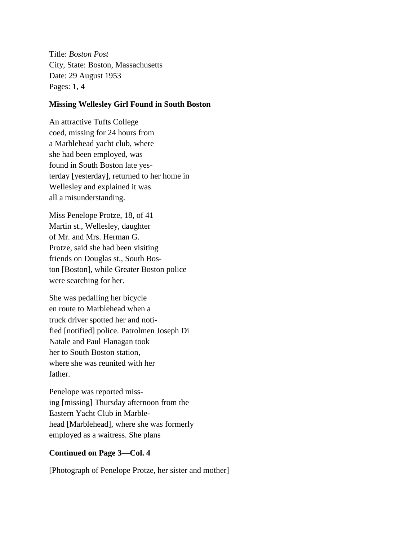Title: *Boston Post* City, State: Boston, Massachusetts Date: 29 August 1953 Pages: 1, 4

## **Missing Wellesley Girl Found in South Boston**

An attractive Tufts College coed, missing for 24 hours from a Marblehead yacht club, where she had been employed, was found in South Boston late yesterday [yesterday], returned to her home in Wellesley and explained it was all a misunderstanding.

Miss Penelope Protze, 18, of 41 Martin st., Wellesley, daughter of Mr. and Mrs. Herman G. Protze, said she had been visiting friends on Douglas st., South Boston [Boston], while Greater Boston police were searching for her.

She was pedalling her bicycle en route to Marblehead when a truck driver spotted her and notified [notified] police. Patrolmen Joseph Di Natale and Paul Flanagan took her to South Boston station, where she was reunited with her father.

Penelope was reported missing [missing] Thursday afternoon from the Eastern Yacht Club in Marblehead [Marblehead], where she was formerly employed as a waitress. She plans

## **Continued on Page 3—Col. 4**

[Photograph of Penelope Protze, her sister and mother]